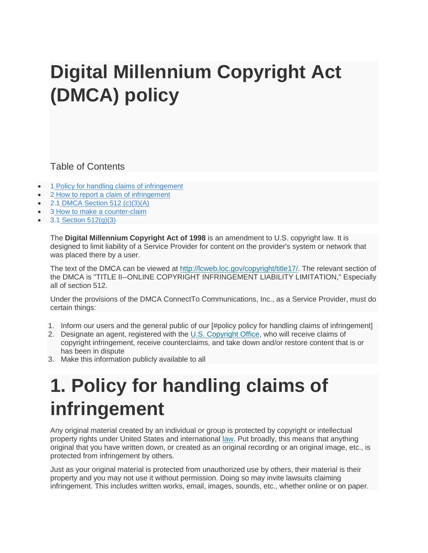# **Digital Millennium Copyright Act (DMCA) policy**

Table of Contents

- 1 [Policy for handling claims of infringement](https://help.sonic.com/hc/en-us/articles/236029887-Digital-Millennium-Copyright-Act-DMCA-policy#policy_for_handling_claims_of_infringement)
- 2 [How to report a claim of infringement](https://help.sonic.com/hc/en-us/articles/236029887-Digital-Millennium-Copyright-Act-DMCA-policy#how_to_report_a_claim_of_infringement)
- 2.1 [DMCA Section 512 \(c\)\(3\)\(A\)](https://help.sonic.com/hc/en-us/articles/236029887-Digital-Millennium-Copyright-Act-DMCA-policy#dmca_section_512_(c)(3)(a))
- 3 [How to make a counter-claim](https://help.sonic.com/hc/en-us/articles/236029887-Digital-Millennium-Copyright-Act-DMCA-policy#how_to_make_a_counter-claim)
- $\bullet$  3.1 [Section 512\(g\)\(3\)](https://help.sonic.com/hc/en-us/articles/236029887-Digital-Millennium-Copyright-Act-DMCA-policy#section_512(g)(3))

The **Digital Millennium Copyright Act of 1998** is an amendment to U.S. copyright law. It is designed to limit liability of a Service Provider for content on the provider's system or network that was placed there by a user.

The text of the DMCA can be viewed at [http://lcweb.loc.gov/copyright/title17/.](http://lcweb.loc.gov/copyright/title17/) The relevant section of the DMCA is "TITLE II--ONLINE COPYRIGHT INFRINGEMENT LIABILITY LIMITATION," Especially all of section 512.

Under the provisions of the DMCA ConnectTo Communications, Inc., as a Service Provider, must do certain things:

- 1. Inform our users and the general public of our [#policy policy for handling claims of infringement]
- 2. Designate an agent, registered with the [U.S. Copyright Office,](http://www.loc.gov/copyright/) who will receive claims of copyright infringement, receive counterclaims, and take down and/or restore content that is or has been in dispute
- 3. Make this information publicly available to all

# **1. Policy for handling claims of infringement**

Any original material created by an individual or group is protected by copyright or intellectual property rights under United States and international [law.](http://lcweb.loc.gov/copyright/title17/) Put broadly, this means that anything original that you have written down, or created as an original recording or an original image, etc., is protected from infringement by others.

Just as your original material is protected from unauthorized use by others, their material is their property and you may not use it without permission. Doing so may invite lawsuits claiming infringement. This includes written works, email, images, sounds, etc., whether online or on paper.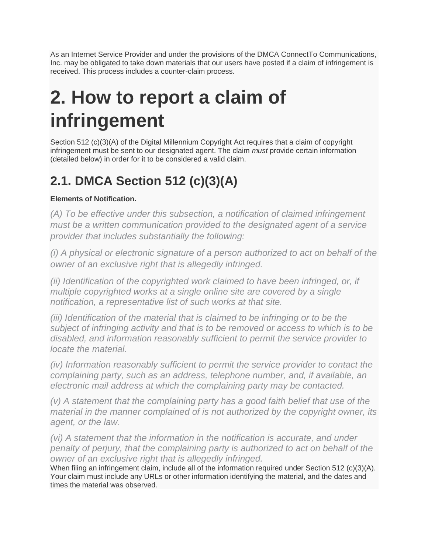As an Internet Service Provider and under the provisions of the DMCA ConnectTo Communications, Inc. may be obligated to take down materials that our users have posted if a claim of infringement is received. This process includes a counter-claim process.

# **2. How to report a claim of infringement**

Section 512 (c)(3)(A) of the Digital Millennium Copyright Act requires that a claim of copyright infringement must be sent to our designated agent. The claim *must* provide certain information (detailed below) in order for it to be considered a valid claim.

### **2.1. DMCA Section 512 (c)(3)(A)**

#### **Elements of Notification.**

*(A) To be effective under this subsection, a notification of claimed infringement must be a written communication provided to the designated agent of a service provider that includes substantially the following:*

*(i) A physical or electronic signature of a person authorized to act on behalf of the owner of an exclusive right that is allegedly infringed.*

*(ii) Identification of the copyrighted work claimed to have been infringed, or, if multiple copyrighted works at a single online site are covered by a single notification, a representative list of such works at that site.*

*(iii) Identification of the material that is claimed to be infringing or to be the subject of infringing activity and that is to be removed or access to which is to be disabled, and information reasonably sufficient to permit the service provider to locate the material.*

*(iv) Information reasonably sufficient to permit the service provider to contact the complaining party, such as an address, telephone number, and, if available, an electronic mail address at which the complaining party may be contacted.*

*(v) A statement that the complaining party has a good faith belief that use of the material in the manner complained of is not authorized by the copyright owner, its agent, or the law.*

*(vi) A statement that the information in the notification is accurate, and under penalty of perjury, that the complaining party is authorized to act on behalf of the owner of an exclusive right that is allegedly infringed.*

When filing an infringement claim, include all of the information required under Section 512 (c)(3)(A). Your claim must include any URLs or other information identifying the material, and the dates and times the material was observed.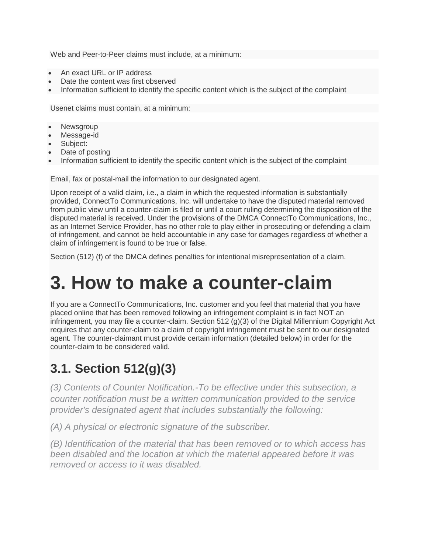Web and Peer-to-Peer claims must include, at a minimum:

- An exact URL or IP address
- Date the content was first observed
- Information sufficient to identify the specific content which is the subject of the complaint

Usenet claims must contain, at a minimum:

- **Newsgroup**
- Message-id
- Subject:
- Date of posting
- Information sufficient to identify the specific content which is the subject of the complaint

Email, fax or postal-mail the information to our designated agent.

Upon receipt of a valid claim, i.e., a claim in which the requested information is substantially provided, ConnectTo Communications, Inc. will undertake to have the disputed material removed from public view until a counter-claim is filed or until a court ruling determining the disposition of the disputed material is received. Under the provisions of the DMCA ConnectTo Communications, Inc., as an Internet Service Provider, has no other role to play either in prosecuting or defending a claim of infringement, and cannot be held accountable in any case for damages regardless of whether a claim of infringement is found to be true or false.

Section (512) (f) of the DMCA defines penalties for intentional misrepresentation of a claim.

## **3. How to make a counter-claim**

If you are a ConnectTo Communications, Inc. customer and you feel that material that you have placed online that has been removed following an infringement complaint is in fact NOT an infringement, you may file a counter-claim. Section 512 (g)(3) of the Digital Millennium Copyright Act requires that any counter-claim to a claim of copyright infringement must be sent to our designated agent. The counter-claimant must provide certain information (detailed below) in order for the counter-claim to be considered valid.

### **3.1. Section 512(g)(3)**

*(3) Contents of Counter Notification.-To be effective under this subsection, a counter notification must be a written communication provided to the service provider's designated agent that includes substantially the following:*

*(A) A physical or electronic signature of the subscriber.*

*(B) Identification of the material that has been removed or to which access has been disabled and the location at which the material appeared before it was removed or access to it was disabled.*